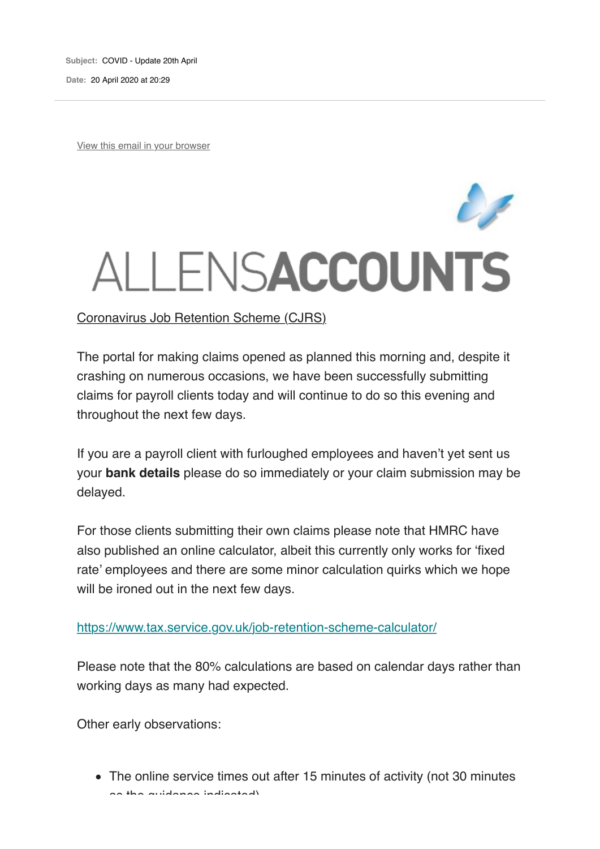**Subject:** COVID - Update 20th April

**Date:** 20 April 2020 at 20:29

View this email in your browser

# ALLENSACCOUNTS

Coronavirus Job Retention Scheme (CJRS)

The portal for making claims opened as planned this morning and, despite it crashing on numerous occasions, we have been successfully submitting claims for payroll clients today and will continue to do so this evening and throughout the next few days.

If you are a payroll client with furloughed employees and haven't yet sent us your **bank details** please do so immediately or your claim submission may be delayed.

For those clients submitting their own claims please note that HMRC have also published an online calculator, albeit this currently only works for 'fixed rate' employees and there are some minor calculation quirks which we hope will be ironed out in the next few days.

### https://www.tax.service.gov.uk/job-retention-scheme-calculator/

Please note that the 80% calculations are based on calendar days rather than working days as many had expected.

Other early observations:

The online service times out after 15 minutes of activity (not 30 minutes as the guidance indicated)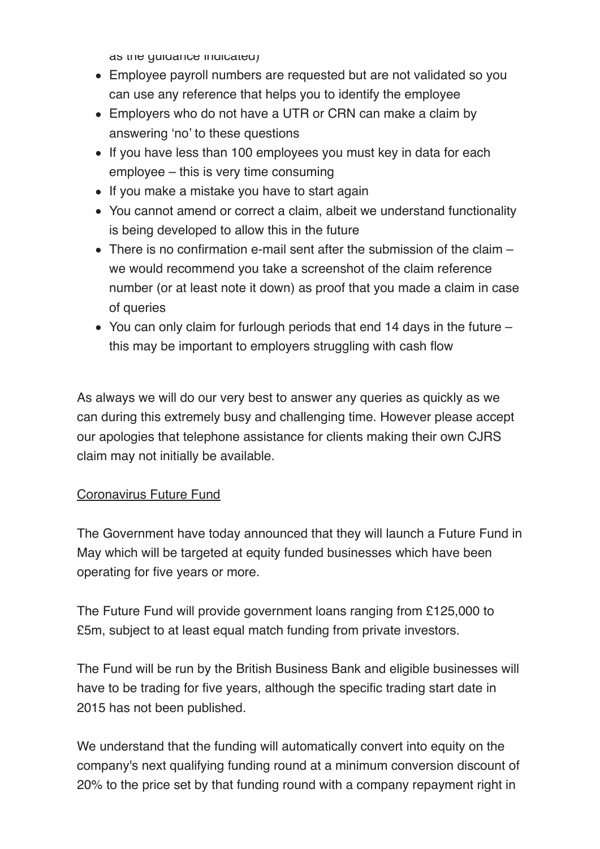as the guidance indicated)

- Employee payroll numbers are requested but are not validated so you can use any reference that helps you to identify the employee
- Employers who do not have a UTR or CRN can make a claim by answering 'no' to these questions
- If you have less than 100 employees you must key in data for each employee – this is very time consuming
- If you make a mistake you have to start again
- You cannot amend or correct a claim, albeit we understand functionality is being developed to allow this in the future
- There is no confirmation e-mail sent after the submission of the claim we would recommend you take a screenshot of the claim reference number (or at least note it down) as proof that you made a claim in case of queries
- You can only claim for furlough periods that end 14 days in the future this may be important to employers struggling with cash flow

As always we will do our very best to answer any queries as quickly as we can during this extremely busy and challenging time. However please accept our apologies that telephone assistance for clients making their own CJRS claim may not initially be available.

## Coronavirus Future Fund

The Government have today announced that they will launch a Future Fund in May which will be targeted at equity funded businesses which have been operating for five years or more.

The Future Fund will provide government loans ranging from £125,000 to £5m, subject to at least equal match funding from private investors.

The Fund will be run by the British Business Bank and eligible businesses will have to be trading for five years, although the specific trading start date in 2015 has not been published.

We understand that the funding will automatically convert into equity on the company's next qualifying funding round at a minimum conversion discount of 20% to the price set by that funding round with a company repayment right in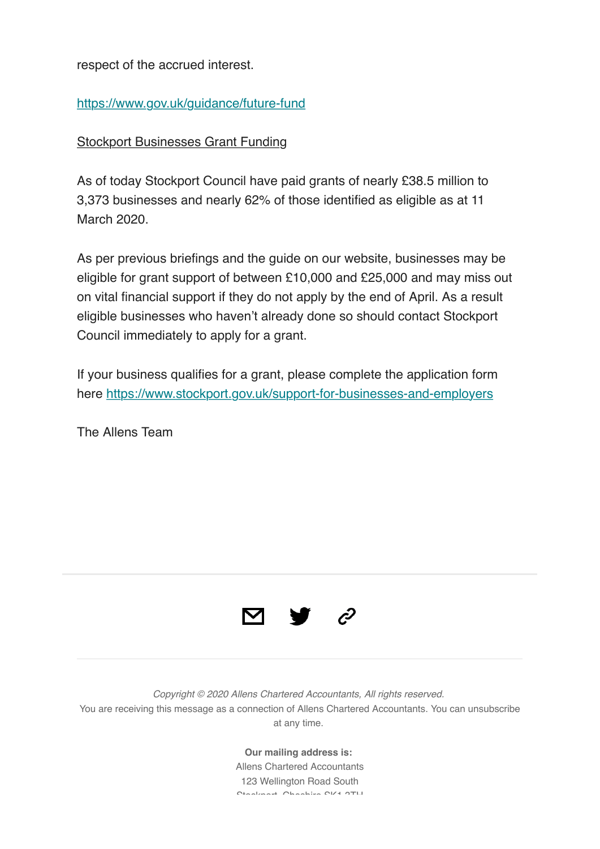respect of the accrued interest.

# https://www.gov.uk/guidance/future-fund

# Stockport Businesses Grant Funding

As of today Stockport Council have paid grants of nearly £38.5 million to 3,373 businesses and nearly 62% of those identified as eligible as at 11 March 2020.

As per previous briefings and the guide on our website, businesses may be eligible for grant support of between £10,000 and £25,000 and may miss out on vital financial support if they do not apply by the end of April. As a result eligible businesses who haven't already done so should contact Stockport Council immediately to apply for a grant.

If your business qualifies for a grant, please complete the application form here https://www.stockport.gov.uk/support-for-businesses-and-employers

The Allens Team



*Copyright © 2020 Allens Chartered Accountants, All rights reserved.* You are receiving this message as a connection of Allens Chartered Accountants. You can unsubscribe at any time.

> **Our mailing address is:** Allens Chartered Accountants 123 Wellington Road South Stockport, Cheshire SK1 3TH